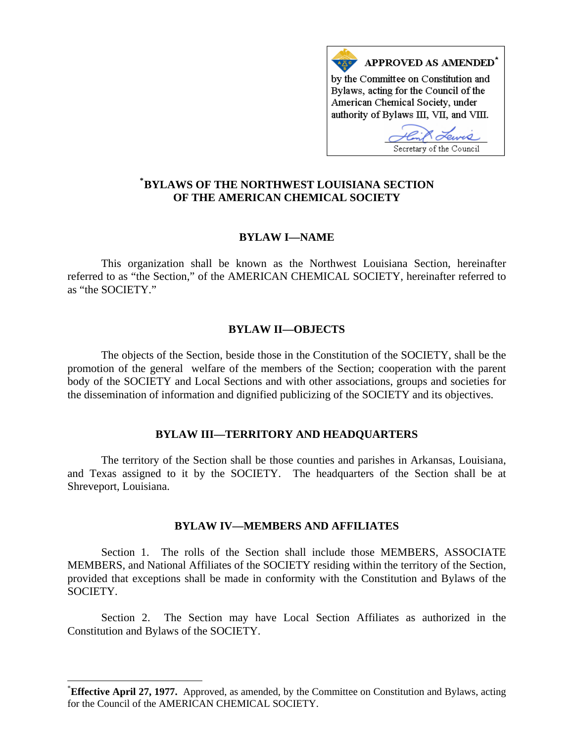

# **\* [BYLAWS OF THE NORTHWEST LOUISIANA SECTION](#page-0-0)  OF THE AMERICAN CHEMICAL SOCIETY**

# **BYLAW I—NAME**

This organization shall be known as the Northwest Louisiana Section, hereinafter referred to as "the Section," of the AMERICAN CHEMICAL SOCIETY, hereinafter referred to as "the SOCIETY."

### **BYLAW II—OBJECTS**

The objects of the Section, beside those in the Constitution of the SOCIETY, shall be the promotion of the general welfare of the members of the Section; cooperation with the parent body of the SOCIETY and Local Sections and with other associations, groups and societies for the dissemination of information and dignified publicizing of the SOCIETY and its objectives.

### **BYLAW III—TERRITORY AND HEADQUARTERS**

The territory of the Section shall be those counties and parishes in Arkansas, Louisiana, and Texas assigned to it by the SOCIETY. The headquarters of the Section shall be at Shreveport, Louisiana.

# **BYLAW IV—MEMBERS AND AFFILIATES**

Section 1. The rolls of the Section shall include those MEMBERS, ASSOCIATE MEMBERS, and National Affiliates of the SOCIETY residing within the territory of the Section, provided that exceptions shall be made in conformity with the Constitution and Bylaws of the SOCIETY.

Section 2. The Section may have Local Section Affiliates as authorized in the Constitution and Bylaws of the SOCIETY.

 $\overline{a}$ 

<span id="page-0-0"></span><sup>\*</sup> **Effective April 27, 1977.** Approved, as amended, by the Committee on Constitution and Bylaws, acting for the Council of the AMERICAN CHEMICAL SOCIETY.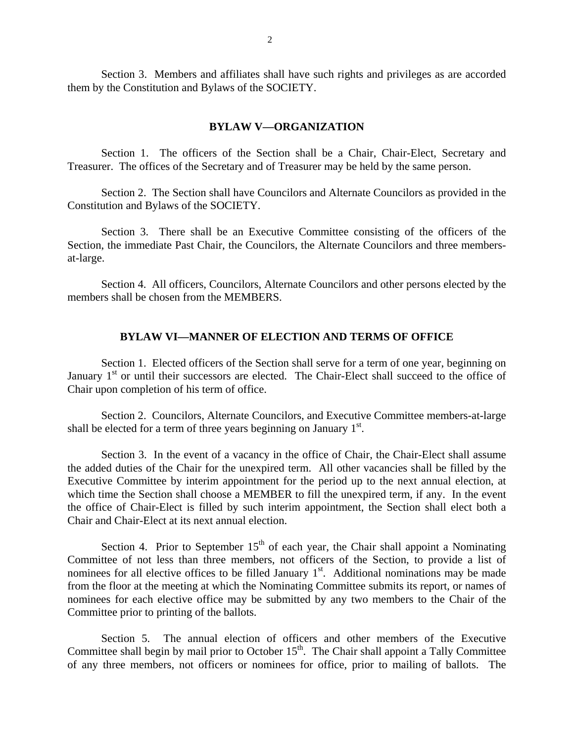Section 3. Members and affiliates shall have such rights and privileges as are accorded them by the Constitution and Bylaws of the SOCIETY.

#### **BYLAW V—ORGANIZATION**

Section 1. The officers of the Section shall be a Chair, Chair-Elect, Secretary and Treasurer. The offices of the Secretary and of Treasurer may be held by the same person.

Section 2. The Section shall have Councilors and Alternate Councilors as provided in the Constitution and Bylaws of the SOCIETY.

Section 3. There shall be an Executive Committee consisting of the officers of the Section, the immediate Past Chair, the Councilors, the Alternate Councilors and three membersat-large.

Section 4. All officers, Councilors, Alternate Councilors and other persons elected by the members shall be chosen from the MEMBERS.

### **BYLAW VI—MANNER OF ELECTION AND TERMS OF OFFICE**

Section 1. Elected officers of the Section shall serve for a term of one year, beginning on January  $1<sup>st</sup>$  or until their successors are elected. The Chair-Elect shall succeed to the office of Chair upon completion of his term of office.

Section 2. Councilors, Alternate Councilors, and Executive Committee members-at-large shall be elected for a term of three years beginning on January  $1<sup>st</sup>$ .

Section 3. In the event of a vacancy in the office of Chair, the Chair-Elect shall assume the added duties of the Chair for the unexpired term. All other vacancies shall be filled by the Executive Committee by interim appointment for the period up to the next annual election, at which time the Section shall choose a MEMBER to fill the unexpired term, if any. In the event the office of Chair-Elect is filled by such interim appointment, the Section shall elect both a Chair and Chair-Elect at its next annual election.

Section 4. Prior to September  $15<sup>th</sup>$  of each year, the Chair shall appoint a Nominating Committee of not less than three members, not officers of the Section, to provide a list of nominees for all elective offices to be filled January  $1<sup>st</sup>$ . Additional nominations may be made from the floor at the meeting at which the Nominating Committee submits its report, or names of nominees for each elective office may be submitted by any two members to the Chair of the Committee prior to printing of the ballots.

Section 5. The annual election of officers and other members of the Executive Committee shall begin by mail prior to October  $15<sup>th</sup>$ . The Chair shall appoint a Tally Committee of any three members, not officers or nominees for office, prior to mailing of ballots. The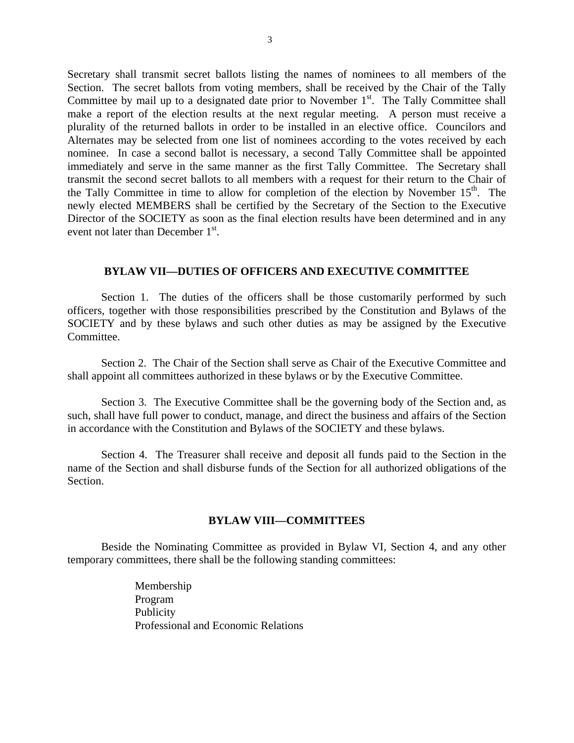Secretary shall transmit secret ballots listing the names of nominees to all members of the Section. The secret ballots from voting members, shall be received by the Chair of the Tally Committee by mail up to a designated date prior to November  $1<sup>st</sup>$ . The Tally Committee shall make a report of the election results at the next regular meeting. A person must receive a plurality of the returned ballots in order to be installed in an elective office. Councilors and Alternates may be selected from one list of nominees according to the votes received by each nominee. In case a second ballot is necessary, a second Tally Committee shall be appointed immediately and serve in the same manner as the first Tally Committee. The Secretary shall transmit the second secret ballots to all members with a request for their return to the Chair of the Tally Committee in time to allow for completion of the election by November  $15<sup>th</sup>$ . The newly elected MEMBERS shall be certified by the Secretary of the Section to the Executive Director of the SOCIETY as soon as the final election results have been determined and in any event not later than December 1<sup>st</sup>.

### **BYLAW VII—DUTIES OF OFFICERS AND EXECUTIVE COMMITTEE**

Section 1. The duties of the officers shall be those customarily performed by such officers, together with those responsibilities prescribed by the Constitution and Bylaws of the SOCIETY and by these bylaws and such other duties as may be assigned by the Executive Committee.

Section 2. The Chair of the Section shall serve as Chair of the Executive Committee and shall appoint all committees authorized in these bylaws or by the Executive Committee.

Section 3. The Executive Committee shall be the governing body of the Section and, as such, shall have full power to conduct, manage, and direct the business and affairs of the Section in accordance with the Constitution and Bylaws of the SOCIETY and these bylaws.

Section 4. The Treasurer shall receive and deposit all funds paid to the Section in the name of the Section and shall disburse funds of the Section for all authorized obligations of the Section.

### **BYLAW VIII—COMMITTEES**

Beside the Nominating Committee as provided in Bylaw VI, Section 4, and any other temporary committees, there shall be the following standing committees:

> Membership Program Publicity Professional and Economic Relations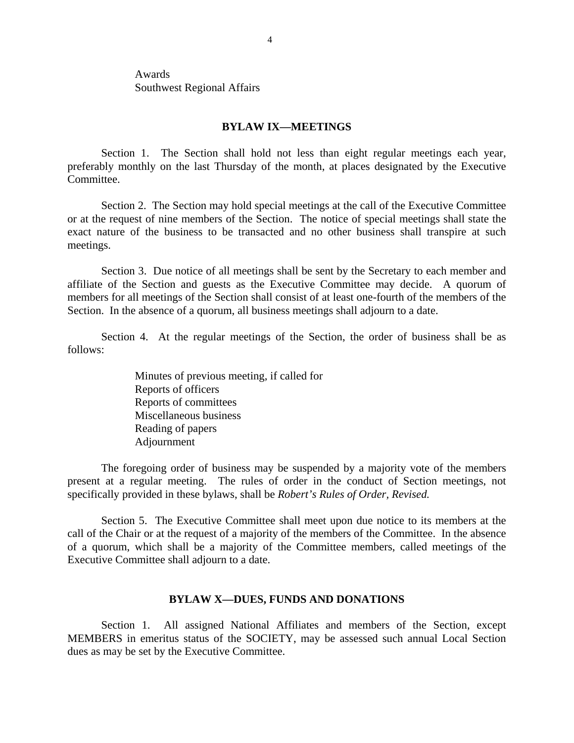Awards Southwest Regional Affairs

#### **BYLAW IX—MEETINGS**

Section 1. The Section shall hold not less than eight regular meetings each year, preferably monthly on the last Thursday of the month, at places designated by the Executive Committee.

Section 2. The Section may hold special meetings at the call of the Executive Committee or at the request of nine members of the Section. The notice of special meetings shall state the exact nature of the business to be transacted and no other business shall transpire at such meetings.

Section 3. Due notice of all meetings shall be sent by the Secretary to each member and affiliate of the Section and guests as the Executive Committee may decide. A quorum of members for all meetings of the Section shall consist of at least one-fourth of the members of the Section. In the absence of a quorum, all business meetings shall adjourn to a date.

Section 4. At the regular meetings of the Section, the order of business shall be as follows:

> Minutes of previous meeting, if called for Reports of officers Reports of committees Miscellaneous business Reading of papers Adjournment

The foregoing order of business may be suspended by a majority vote of the members present at a regular meeting. The rules of order in the conduct of Section meetings, not specifically provided in these bylaws, shall be *Robert's Rules of Order, Revised.*

Section 5. The Executive Committee shall meet upon due notice to its members at the call of the Chair or at the request of a majority of the members of the Committee. In the absence of a quorum, which shall be a majority of the Committee members, called meetings of the Executive Committee shall adjourn to a date.

### **BYLAW X—DUES, FUNDS AND DONATIONS**

Section 1. All assigned National Affiliates and members of the Section, except MEMBERS in emeritus status of the SOCIETY, may be assessed such annual Local Section dues as may be set by the Executive Committee.